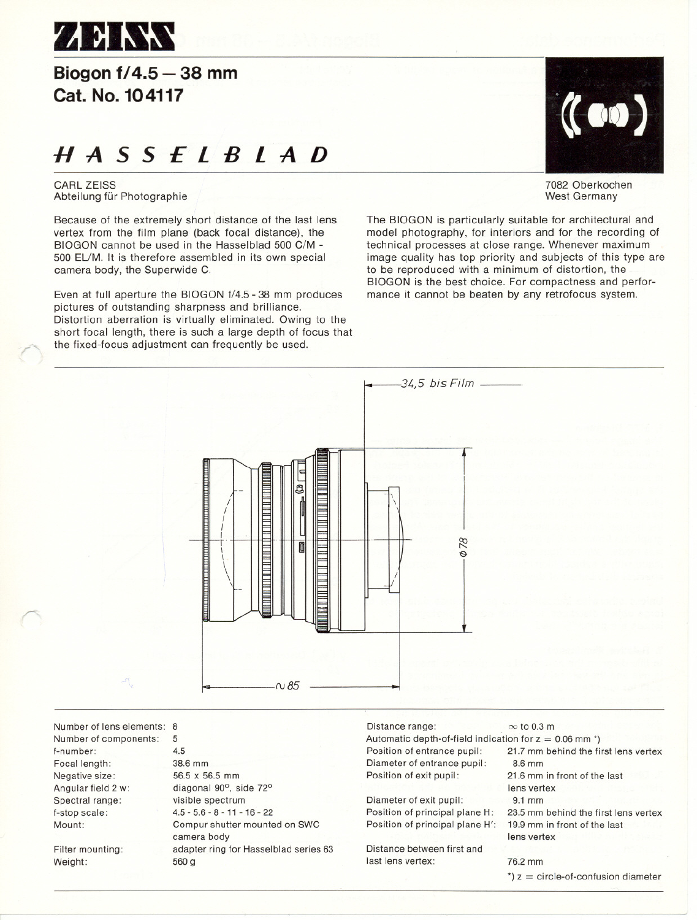

## **Biogonf/4.5 - 38 mm Cat. No. 104117**

# **HASSELBlAD**

CARl ZEISS Abteilung für Photographie

Because of the extremely short distance of the last lens vertex from the film plane (back focal distance), the BIOGON cannot be used in the Hasselblad 500 C/M - 500 EUM. It is therefore assembled in its own special camera body, the Superwide C.

Even at full aperture the BIOGON f/4.5 - 38 mm produces pictures of outstanding sharpness and brilliance. Distortion aberration is virtually eliminated. Owing to the short focal length, there is such a large depth of focus that the fixed-focus adjustment can frequently be used.



7082 Oberkochen West Germany

The BIOGON is particularly suitable tor architectural and model photography, tor interiors and tor the recording of technical processes at close range. Whenever maximum image quality has top priority and subjects of this type are to be reproduced with a minimum of distortion, the BIOGON is the best choice. For compactness and performance it cannot be beaten by any retrofocus system.



f-number: Focal length: Negative size: Angular field 2 w: Spectral range: f-stop seale: Mount:

r

Filter mounting: Weight:

diagonal 90°, side 72° visible spectrum 4.5 - 5.6 - 8 - 11 - 16 - 22 Compur shutter mounted on SWC camera body adapter ring for Hasselblad series 63 560 9

Diameter of exit pupil: Position of principal plane H: Position of principal plane H':

Distanee between first and last lens vertex: 76.2 mm

lens vertex 9.1 mm 23.5 mm behind the first lens vertex 19.9 mm in front of the last lens vertex

 $\dot{ }$  z = circle-of-confusion diameter